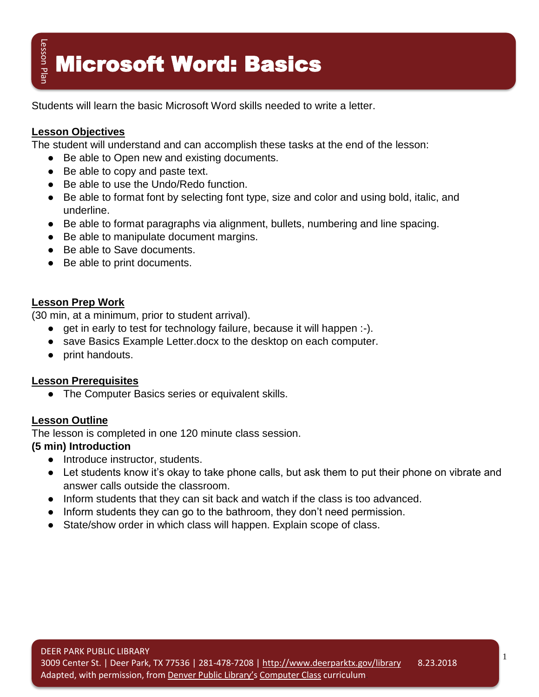# $\frac{2}{\pi^2}$  Microsoft Word: Basics

Students will learn the basic Microsoft Word skills needed to write a letter.

#### **Lesson Objectives**

The student will understand and can accomplish these tasks at the end of the lesson:

- Be able to Open new and existing documents.
- Be able to copy and paste text.
- Be able to use the Undo/Redo function.
- Be able to format font by selecting font type, size and color and using bold, italic, and underline.
- Be able to format paragraphs via alignment, bullets, numbering and line spacing.
- Be able to manipulate document margins.
- Be able to Save documents.
- Be able to print documents.

#### **Lesson Prep Work**

(30 min, at a minimum, prior to student arrival).

- get in early to test for technology failure, because it will happen :-).
- save Basics Example Letter.docx to the desktop on each computer.
- print handouts.

#### **Lesson Prerequisites**

● The Computer Basics series or equivalent skills.

#### **Lesson Outline**

The lesson is completed in one 120 minute class session.

#### **(5 min) Introduction**

- Introduce instructor, students.
- Let students know it's okay to take phone calls, but ask them to put their phone on vibrate and answer calls outside the classroom.
- Inform students that they can sit back and watch if the class is too advanced.
- Inform students they can go to the bathroom, they don't need permission.
- State/show order in which class will happen. Explain scope of class.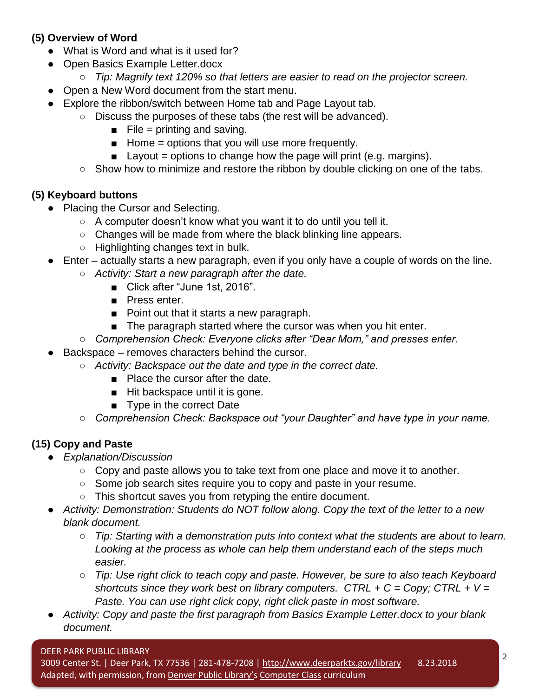#### **(5) Overview of Word**

- What is Word and what is it used for?
- Open Basics Example Letter.docx
	- *Tip: Magnify text 120% so that letters are easier to read on the projector screen.*
- Open a New Word document from the start menu.
- Explore the ribbon/switch between Home tab and Page Layout tab.
	- Discuss the purposes of these tabs (the rest will be advanced).
		- $\blacksquare$  File = printing and saving.
		- $\blacksquare$  Home = options that you will use more frequently.
		- $\blacksquare$  Layout = options to change how the page will print (e.g. margins).
	- Show how to minimize and restore the ribbon by double clicking on one of the tabs.

#### **(5) Keyboard buttons**

- Placing the Cursor and Selecting.
	- $\circ$  A computer doesn't know what you want it to do until you tell it.
	- Changes will be made from where the black blinking line appears.
	- Highlighting changes text in bulk.
- Enter actually starts a new paragraph, even if you only have a couple of words on the line.
	- *Activity: Start a new paragraph after the date.*
		- Click after "June 1st, 2016".
		- Press enter.
		- Point out that it starts a new paragraph.
		- The paragraph started where the cursor was when you hit enter.
	- *Comprehension Check: Everyone clicks after "Dear Mom," and presses enter.*
- Backspace removes characters behind the cursor.
	- *Activity: Backspace out the date and type in the correct date.*
		- Place the cursor after the date.
		- Hit backspace until it is gone.
		- Type in the correct Date
	- *Comprehension Check: Backspace out "your Daughter" and have type in your name.*

#### **(15) Copy and Paste**

- *Explanation/Discussion*
	- Copy and paste allows you to take text from one place and move it to another.
	- Some job search sites require you to copy and paste in your resume.
	- This shortcut saves you from retyping the entire document.
- *Activity: Demonstration: Students do NOT follow along. Copy the text of the letter to a new blank document.*
	- *Tip: Starting with a demonstration puts into context what the students are about to learn. Looking at the process as whole can help them understand each of the steps much easier.*
	- *Tip: Use right click to teach copy and paste. However, be sure to also teach Keyboard shortcuts since they work best on library computers. CTRL + C = Copy; CTRL + V = Paste. You can use right click copy, right click paste in most software.*
- *Activity: Copy and paste the first paragraph from Basics Example Letter.docx to your blank document.*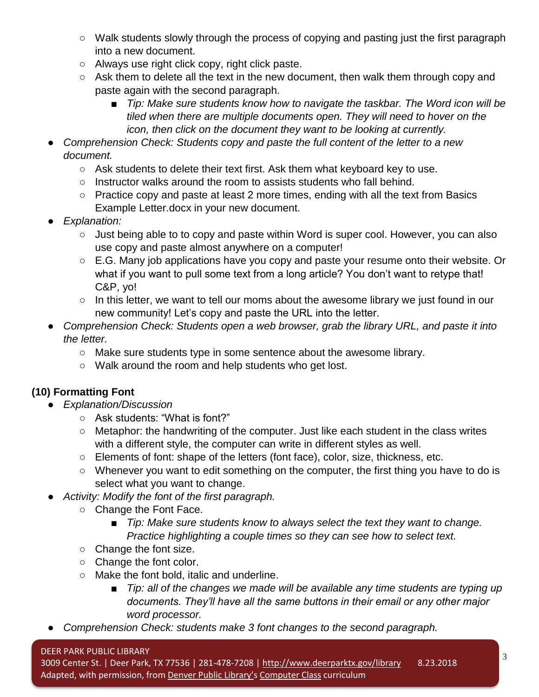- Walk students slowly through the process of copying and pasting just the first paragraph into a new document.
- Always use right click copy, right click paste.
- Ask them to delete all the text in the new document, then walk them through copy and paste again with the second paragraph.
	- *Tip: Make sure students know how to navigate the taskbar. The Word icon will be tiled when there are multiple documents open. They will need to hover on the icon, then click on the document they want to be looking at currently.*
- *Comprehension Check: Students copy and paste the full content of the letter to a new document.*
	- Ask students to delete their text first. Ask them what keyboard key to use.
	- Instructor walks around the room to assists students who fall behind.
	- Practice copy and paste at least 2 more times, ending with all the text from Basics Example Letter.docx in your new document.
- *Explanation:*
	- Just being able to to copy and paste within Word is super cool. However, you can also use copy and paste almost anywhere on a computer!
	- E.G. Many job applications have you copy and paste your resume onto their website. Or what if you want to pull some text from a long article? You don't want to retype that! C&P, yo!
	- In this letter, we want to tell our moms about the awesome library we just found in our new community! Let's copy and paste the URL into the letter.
- *Comprehension Check: Students open a web browser, grab the library URL, and paste it into the letter.*
	- Make sure students type in some sentence about the awesome library.
	- Walk around the room and help students who get lost.

## **(10) Formatting Font**

- *Explanation/Discussion*
	- Ask students: "What is font?"
	- Metaphor: the handwriting of the computer. Just like each student in the class writes with a different style, the computer can write in different styles as well.
	- Elements of font: shape of the letters (font face), color, size, thickness, etc.
	- Whenever you want to edit something on the computer, the first thing you have to do is select what you want to change.
- Activity: Modify the font of the first paragraph.
	- Change the Font Face.
		- *Tip: Make sure students know to always select the text they want to change. Practice highlighting a couple times so they can see how to select text.*
	- Change the font size.
	- Change the font color.
	- Make the font bold, italic and underline.
		- *Tip: all of the changes we made will be available any time students are typing up documents. They'll have all the same buttons in their email or any other major word processor.*
- *Comprehension Check: students make 3 font changes to the second paragraph.*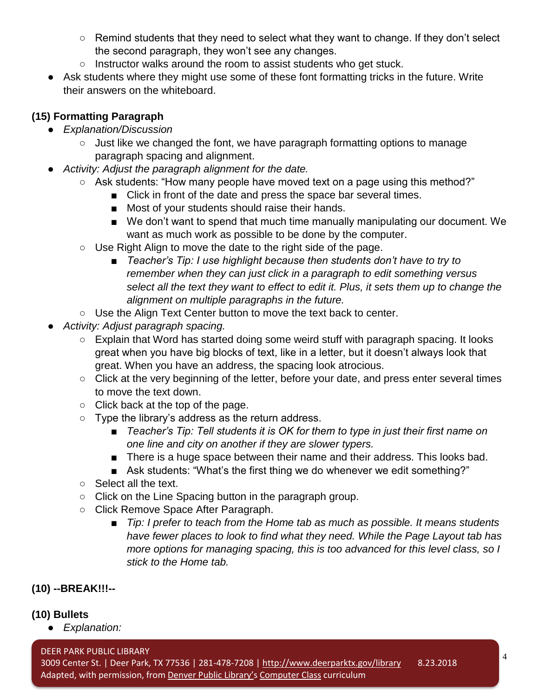- Remind students that they need to select what they want to change. If they don't select the second paragraph, they won't see any changes.
- Instructor walks around the room to assist students who get stuck.
- Ask students where they might use some of these font formatting tricks in the future. Write their answers on the whiteboard.

## **(15) Formatting Paragraph**

- *Explanation/Discussion*
	- Just like we changed the font, we have paragraph formatting options to manage paragraph spacing and alignment.
- Activity: Adjust the paragraph alignment for the date.
	- Ask students: "How many people have moved text on a page using this method?"
		- Click in front of the date and press the space bar several times.
		- Most of your students should raise their hands.
		- We don't want to spend that much time manually manipulating our document. We want as much work as possible to be done by the computer.
	- Use Right Align to move the date to the right side of the page.
		- *Teacher's Tip: I use highlight because then students don't have to try to remember when they can just click in a paragraph to edit something versus select all the text they want to effect to edit it. Plus, it sets them up to change the alignment on multiple paragraphs in the future.*
	- Use the Align Text Center button to move the text back to center.
- *Activity: Adjust paragraph spacing.*
	- Explain that Word has started doing some weird stuff with paragraph spacing. It looks great when you have big blocks of text, like in a letter, but it doesn't always look that great. When you have an address, the spacing look atrocious.
	- Click at the very beginning of the letter, before your date, and press enter several times to move the text down.
	- Click back at the top of the page.
	- Type the library's address as the return address.
		- *Teacher's Tip: Tell students it is OK for them to type in just their first name on one line and city on another if they are slower typers.*
		- There is a huge space between their name and their address. This looks bad.
		- Ask students: "What's the first thing we do whenever we edit something?"
	- Select all the text.
	- Click on the Line Spacing button in the paragraph group.
	- Click Remove Space After Paragraph.
		- *Tip: I prefer to teach from the Home tab as much as possible. It means students have fewer places to look to find what they need. While the Page Layout tab has more options for managing spacing, this is too advanced for this level class, so I stick to the Home tab.*

## **(10) --BREAK!!!--**

## **(10) Bullets**

● *Explanation:* 

DEER PARK PUBLIC LIBRARY 3009 Center St. | Deer Park, TX 77536 | 281-478-7208 |<http://www.deerparktx.gov/library> Adapted, with permission, from [Denver Public Library'](https://www.denverlibrary.org/)s [Computer Class](https://www.denverlibrary.org/ctc-classes) curriculum. 8.23.2018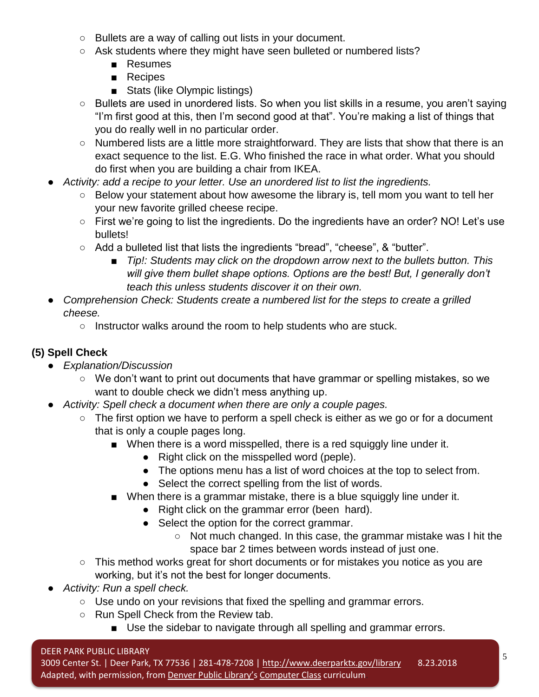- Bullets are a way of calling out lists in your document.
- Ask students where they might have seen bulleted or numbered lists?
	- Resumes
	- Recipes
	- Stats (like Olympic listings)
- Bullets are used in unordered lists. So when you list skills in a resume, you aren't saying "I'm first good at this, then I'm second good at that". You're making a list of things that you do really well in no particular order.
- Numbered lists are a little more straightforward. They are lists that show that there is an exact sequence to the list. E.G. Who finished the race in what order. What you should do first when you are building a chair from IKEA.
- Activity: add a recipe to your letter. Use an unordered list to list the ingredients.
	- Below your statement about how awesome the library is, tell mom you want to tell her your new favorite grilled cheese recipe.
	- First we're going to list the ingredients. Do the ingredients have an order? NO! Let's use bullets!
	- Add a bulleted list that lists the ingredients "bread", "cheese", & "butter".
		- *Tip!: Students may click on the dropdown arrow next to the bullets button. This* will give them bullet shape options. Options are the best! But, I generally don't *teach this unless students discover it on their own.*
- *Comprehension Check: Students create a numbered list for the steps to create a grilled cheese.*
	- Instructor walks around the room to help students who are stuck.

## **(5) Spell Check**

- *Explanation/Discussion*
	- We don't want to print out documents that have grammar or spelling mistakes, so we want to double check we didn't mess anything up.
- *Activity: Spell check a document when there are only a couple pages.*
	- The first option we have to perform a spell check is either as we go or for a document that is only a couple pages long.
		- When there is a word misspelled, there is a red squiggly line under it.
			- Right click on the misspelled word (peple).
			- The options menu has a list of word choices at the top to select from.
			- Select the correct spelling from the list of words.
		- When there is a grammar mistake, there is a blue squiggly line under it.
			- Right click on the grammar error (been hard).
			- Select the option for the correct grammar.
				- Not much changed. In this case, the grammar mistake was I hit the space bar 2 times between words instead of just one.
	- This method works great for short documents or for mistakes you notice as you are working, but it's not the best for longer documents.
- *Activity: Run a spell check.*
	- Use undo on your revisions that fixed the spelling and grammar errors.
	- Run Spell Check from the Review tab.
		- Use the sidebar to navigate through all spelling and grammar errors.

#### DEER PARK PUBLIC LIBRARY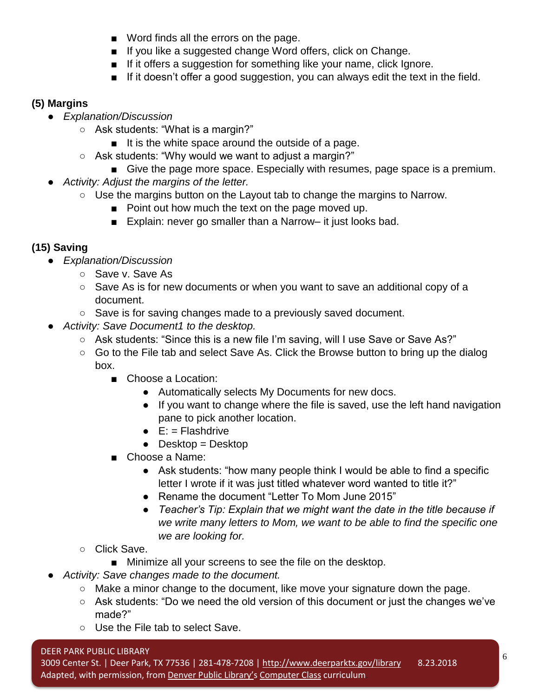- Word finds all the errors on the page.
- If you like a suggested change Word offers, click on Change.
- If it offers a suggestion for something like your name, click Ignore.
- If it doesn't offer a good suggestion, you can always edit the text in the field.

#### **(5) Margins**

- *Explanation/Discussion*
	- Ask students: "What is a margin?"
		- It is the white space around the outside of a page.
	- Ask students: "Why would we want to adjust a margin?"
		- Give the page more space. Especially with resumes, page space is a premium.
- *Activity: Adjust the margins of the letter.*
	- $\circ$  Use the margins button on the Layout tab to change the margins to Narrow.
		- Point out how much the text on the page moved up.
		- Explain: never go smaller than a Narrow– it just looks bad.

## **(15) Saving**

- *Explanation/Discussion*
	- Save v. Save As
	- Save As is for new documents or when you want to save an additional copy of a document.
	- Save is for saving changes made to a previously saved document.
- *Activity: Save Document1 to the desktop.*
	- Ask students: "Since this is a new file I'm saving, will I use Save or Save As?"
	- Go to the File tab and select Save As. Click the Browse button to bring up the dialog box.
		- Choose a Location:
			- Automatically selects My Documents for new docs.
			- If you want to change where the file is saved, use the left hand navigation pane to pick another location.
			- $\bullet$  E: = Flashdrive
			- $\bullet$  Desktop = Desktop
		- Choose a Name:
			- Ask students: "how many people think I would be able to find a specific letter I wrote if it was just titled whatever word wanted to title it?"
			- Rename the document "Letter To Mom June 2015"
			- *Teacher's Tip: Explain that we might want the date in the title because if we write many letters to Mom, we want to be able to find the specific one we are looking for.*
	- Click Save.
		- Minimize all your screens to see the file on the desktop.
- *Activity: Save changes made to the document.*
	- Make a minor change to the document, like move your signature down the page.
	- Ask students: "Do we need the old version of this document or just the changes we've made?"
	- Use the File tab to select Save.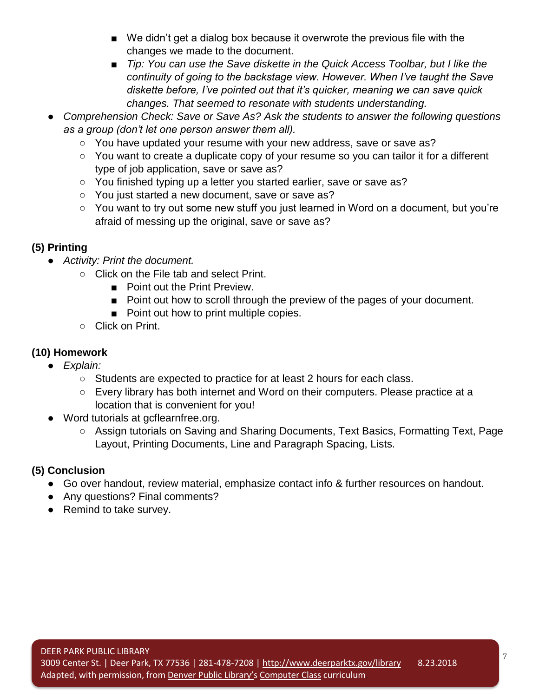- We didn't get a dialog box because it overwrote the previous file with the changes we made to the document.
- *Tip: You can use the Save diskette in the Quick Access Toolbar, but I like the continuity of going to the backstage view. However. When I've taught the Save diskette before, I've pointed out that it's quicker, meaning we can save quick changes. That seemed to resonate with students understanding.*
- *Comprehension Check: Save or Save As? Ask the students to answer the following questions as a group (don't let one person answer them all).*
	- You have updated your resume with your new address, save or save as?
	- You want to create a duplicate copy of your resume so you can tailor it for a different type of job application, save or save as?
	- You finished typing up a letter you started earlier, save or save as?
	- You just started a new document, save or save as?
	- You want to try out some new stuff you just learned in Word on a document, but you're afraid of messing up the original, save or save as?

#### **(5) Printing**

- *Activity: Print the document.*
	- Click on the File tab and select Print.
		- Point out the Print Preview.
		- Point out how to scroll through the preview of the pages of your document.
		- Point out how to print multiple copies.
	- Click on Print.

## **(10) Homework**

- *Explain:*
	- Students are expected to practice for at least 2 hours for each class.
	- Every library has both internet and Word on their computers. Please practice at a location that is convenient for you!
- Word tutorials at gcflearnfree.org.
	- Assign tutorials on Saving and Sharing Documents, Text Basics, Formatting Text, Page Layout, Printing Documents, Line and Paragraph Spacing, Lists.

## **(5) Conclusion**

- Go over handout, review material, emphasize contact info & further resources on handout.
- Any questions? Final comments?
- Remind to take survey.